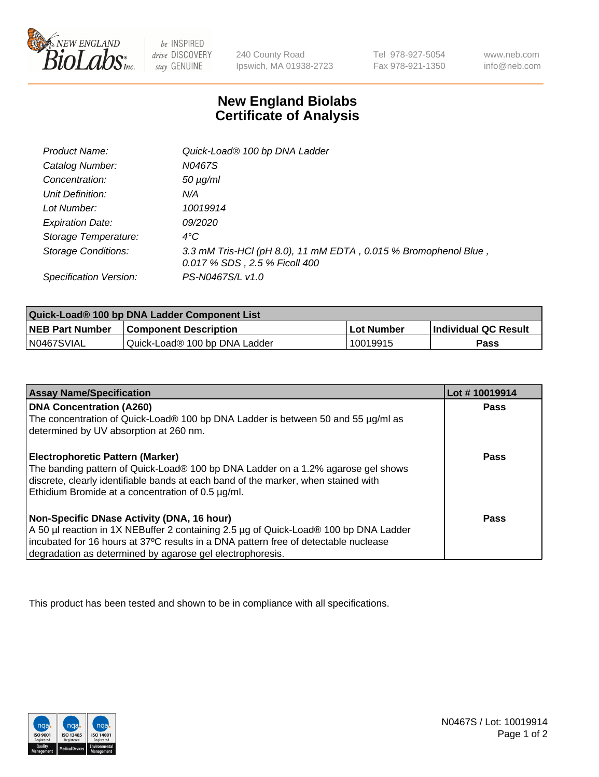

 $be$  INSPIRED drive DISCOVERY stay GENUINE

240 County Road Ipswich, MA 01938-2723 Tel 978-927-5054 Fax 978-921-1350 www.neb.com info@neb.com

## **New England Biolabs Certificate of Analysis**

| <b>Product Name:</b>       | Quick-Load® 100 bp DNA Ladder                                                                    |
|----------------------------|--------------------------------------------------------------------------------------------------|
| Catalog Number:            | N0467S                                                                                           |
| Concentration:             | $50 \mu g/ml$                                                                                    |
| Unit Definition:           | N/A                                                                                              |
| Lot Number:                | 10019914                                                                                         |
| <b>Expiration Date:</b>    | <i>09/2020</i>                                                                                   |
| Storage Temperature:       | $4^{\circ}$ C                                                                                    |
| <b>Storage Conditions:</b> | 3.3 mM Tris-HCl (pH 8.0), 11 mM EDTA, 0.015 % Bromophenol Blue,<br>0.017 % SDS, 2.5 % Ficoll 400 |
| Specification Version:     | PS-N0467S/L v1.0                                                                                 |

| Quick-Load® 100 bp DNA Ladder Component List |                               |                   |                             |  |
|----------------------------------------------|-------------------------------|-------------------|-----------------------------|--|
| <b>NEB Part Number</b>                       | <b>Component Description</b>  | <b>Lot Number</b> | <b>Individual QC Result</b> |  |
| N0467SVIAL                                   | Quick-Load® 100 bp DNA Ladder | 10019915          | Pass                        |  |

| <b>Assay Name/Specification</b>                                                                                                                                                                                                                                                        | Lot #10019914 |
|----------------------------------------------------------------------------------------------------------------------------------------------------------------------------------------------------------------------------------------------------------------------------------------|---------------|
| <b>DNA Concentration (A260)</b><br>The concentration of Quick-Load® 100 bp DNA Ladder is between 50 and 55 µg/ml as                                                                                                                                                                    | <b>Pass</b>   |
| determined by UV absorption at 260 nm.<br>Electrophoretic Pattern (Marker)<br>The banding pattern of Quick-Load® 100 bp DNA Ladder on a 1.2% agarose gel shows                                                                                                                         | Pass          |
| discrete, clearly identifiable bands at each band of the marker, when stained with<br>Ethidium Bromide at a concentration of 0.5 µg/ml.                                                                                                                                                |               |
| Non-Specific DNase Activity (DNA, 16 hour)<br>A 50 µl reaction in 1X NEBuffer 2 containing 2.5 µg of Quick-Load® 100 bp DNA Ladder<br>incubated for 16 hours at 37°C results in a DNA pattern free of detectable nuclease<br>degradation as determined by agarose gel electrophoresis. | Pass          |

This product has been tested and shown to be in compliance with all specifications.